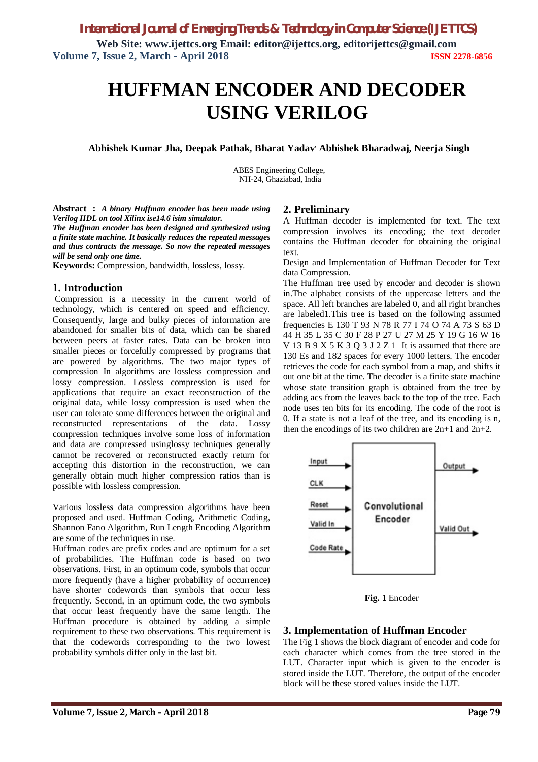**Web Site: www.ijettcs.org Email: editor@ijettcs.org, editorijettcs@gmail.com Volume 7, Issue 2, March - April 2018 ISSN 2278-6856**

# **HUFFMAN ENCODER AND DECODER USING VERILOG**

**Abhishek Kumar Jha, Deepak Pathak, Bharat Yadav, Abhishek Bharadwaj, Neerja Singh**

ABES Engineering College, NH-24, Ghaziabad, India

**Abstract :** *A binary Huffman encoder has been made using Verilog HDL on tool Xilinx ise14.6 isim simulator. The Huffman encoder has been designed and synthesized using a finite state machine. It basically reduces the repeated messages and thus contracts the message. So now the repeated messages will be send only one time.*

**Keywords:** Compression, bandwidth, lossless, lossy.

### **1. Introduction**

Compression is a necessity in the current world of technology, which is centered on speed and efficiency. Consequently, large and bulky pieces of information are abandoned for smaller bits of data, which can be shared between peers at faster rates. Data can be broken into smaller pieces or forcefully compressed by programs that are powered by algorithms. The two major types of compression In algorithms are lossless compression and lossy compression. Lossless compression is used for applications that require an exact reconstruction of the original data, while lossy compression is used when the user can tolerate some differences between the original and reconstructed representations of the data. Lossy compression techniques involve some loss of information and data are compressed usinglossy techniques generally cannot be recovered or reconstructed exactly return for accepting this distortion in the reconstruction, we can generally obtain much higher compression ratios than is possible with lossless compression.

Various lossless data compression algorithms have been proposed and used. Huffman Coding, Arithmetic Coding, Shannon Fano Algorithm, Run Length Encoding Algorithm are some of the techniques in use.

Huffman codes are prefix codes and are optimum for a set of probabilities. The Huffman code is based on two observations. First, in an optimum code, symbols that occur more frequently (have a higher probability of occurrence) have shorter codewords than symbols that occur less frequently. Second, in an optimum code, the two symbols that occur least frequently have the same length. The Huffman procedure is obtained by adding a simple requirement to these two observations. This requirement is that the codewords corresponding to the two lowest probability symbols differ only in the last bit.

### **2. Preliminary**

A Huffman decoder is implemented for text. The text compression involves its encoding; the text decoder contains the Huffman decoder for obtaining the original text.

Design and Implementation of Huffman Decoder for Text data Compression.

The Huffman tree used by encoder and decoder is shown in.The alphabet consists of the uppercase letters and the space. All left branches are labeled 0, and all right branches are labeled1.This tree is based on the following assumed frequencies E 130 T 93 N 78 R 77 I 74 O 74 A 73 S 63 D 44 H 35 L 35 C 30 F 28 P 27 U 27 M 25 Y 19 G 16 W 16 V 13 B 9 X 5 K 3 Q 3 J 2 Z 1 It is assumed that there are 130 Es and 182 spaces for every 1000 letters. The encoder retrieves the code for each symbol from a map, and shifts it out one bit at the time. The decoder is a finite state machine whose state transition graph is obtained from the tree by adding acs from the leaves back to the top of the tree. Each node uses ten bits for its encoding. The code of the root is 0. If a state is not a leaf of the tree, and its encoding is n, then the encodings of its two children are 2n+1 and 2n+2.



**Fig. 1** Encoder

#### **3. Implementation of Huffman Encoder**

The Fig 1 shows the block diagram of encoder and code for each character which comes from the tree stored in the LUT. Character input which is given to the encoder is stored inside the LUT. Therefore, the output of the encoder block will be these stored values inside the LUT.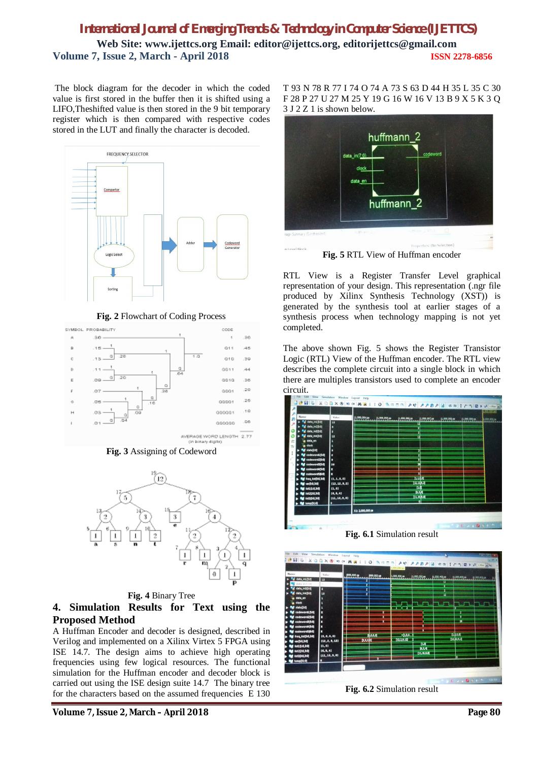# *International Journal of Emerging Trends & Technology in Computer Science (IJETTCS)* **Web Site: www.ijettcs.org Email: editor@ijettcs.org, editorijettcs@gmail.com Volume 7, Issue 2, March - April 2018 ISSN 2278-6856**

The block diagram for the decoder in which the coded value is first stored in the buffer then it is shifted using a LIFO,Theshifted value is then stored in the 9 bit temporary register which is then compared with respective codes stored in the LUT and finally the character is decoded.



**Fig. 2** Flowchart of Coding Process



**Fig. 3** Assigning of Codeword



**Fig. 4** Binary Tree

# **4. Simulation Results for Text using the Proposed Method**

A Huffman Encoder and decoder is designed, described in Verilog and implemented on a Xilinx Virtex 5 FPGA using ISE 14.7. The design aims to achieve high operating frequencies using few logical resources. The functional simulation for the Huffman encoder and decoder block is carried out using the ISE design suite 14.7 The binary tree for the characters based on the assumed frequencies E 130

T 93 N 78 R 77 I 74 O 74 A 73 S 63 D 44 H 35 L 35 C 30 F 28 P 27 U 27 M 25 Y 19 G 16 W 16 V 13 B 9 X 5 K 3 Q 3 J 2 Z 1 is shown below.



**Fig. 5** RTL View of Huffman encoder

RTL View is a Register Transfer Level graphical representation of your design. This representation (.ngr file produced by Xilinx Synthesis Technology (XST)) is generated by the synthesis tool at earlier stages of a synthesis process when technology mapping is not yet completed.

The above shown Fig. 5 shows the Register Transistor Logic (RTL) View of the Huffman encoder. The RTL view describes the complete circuit into a single block in which there are multiples transistors used to complete an encoder circuit.